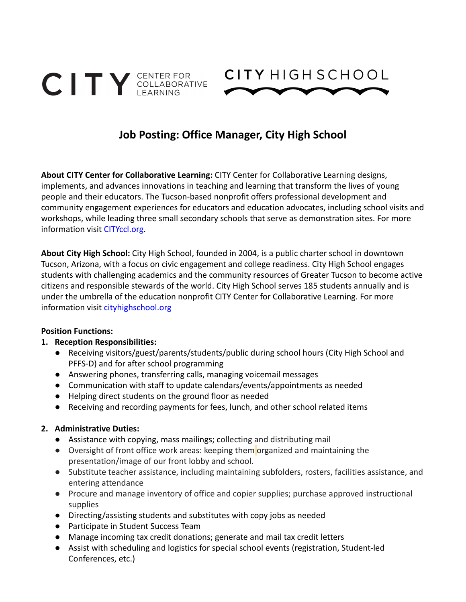



# **Job Posting: Office Manager, City High School**

**About CITY Center for Collaborative Learning:** CITY Center for Collaborative Learning designs, implements, and advances innovations in teaching and learning that transform the lives of young people and their educators. The Tucson-based nonprofit offers professional development and community engagement experiences for educators and education advocates, including school visits and workshops, while leading three small secondary schools that serve as demonstration sites. For more information visit CITYccl.org.

**About City High School:** City High School, founded in 2004, is a public charter school in downtown Tucson, Arizona, with a focus on civic engagement and college readiness. City High School engages students with challenging academics and the community resources of Greater Tucson to become active citizens and responsible stewards of the world. City High School serves 185 students annually and is under the umbrella of the education nonprofit CITY Center for Collaborative Learning. For more information visit cityhighschool.org

#### **Position Functions:**

#### **1. Reception Responsibilities:**

- Receiving visitors/guest/parents/students/public during school hours (City High School and PFFS-D) and for after school programming
- Answering phones, transferring calls, managing voicemail messages
- Communication with staff to update calendars/events/appointments as needed
- Helping direct students on the ground floor as needed
- Receiving and recording payments for fees, lunch, and other school related items

#### **2. Administrative Duties:**

- Assistance with copying, mass mailings; collecting and distributing mail
- Oversight of front office work areas: keeping them organized and maintaining the presentation/image of our front lobby and school.
- Substitute teacher assistance, including maintaining subfolders, rosters, facilities assistance, and entering attendance
- Procure and manage inventory of office and copier supplies; purchase approved instructional supplies
- Directing/assisting students and substitutes with copy jobs as needed
- Participate in Student Success Team
- Manage incoming tax credit donations; generate and mail tax credit letters
- Assist with scheduling and logistics for special school events (registration, Student-led Conferences, etc.)